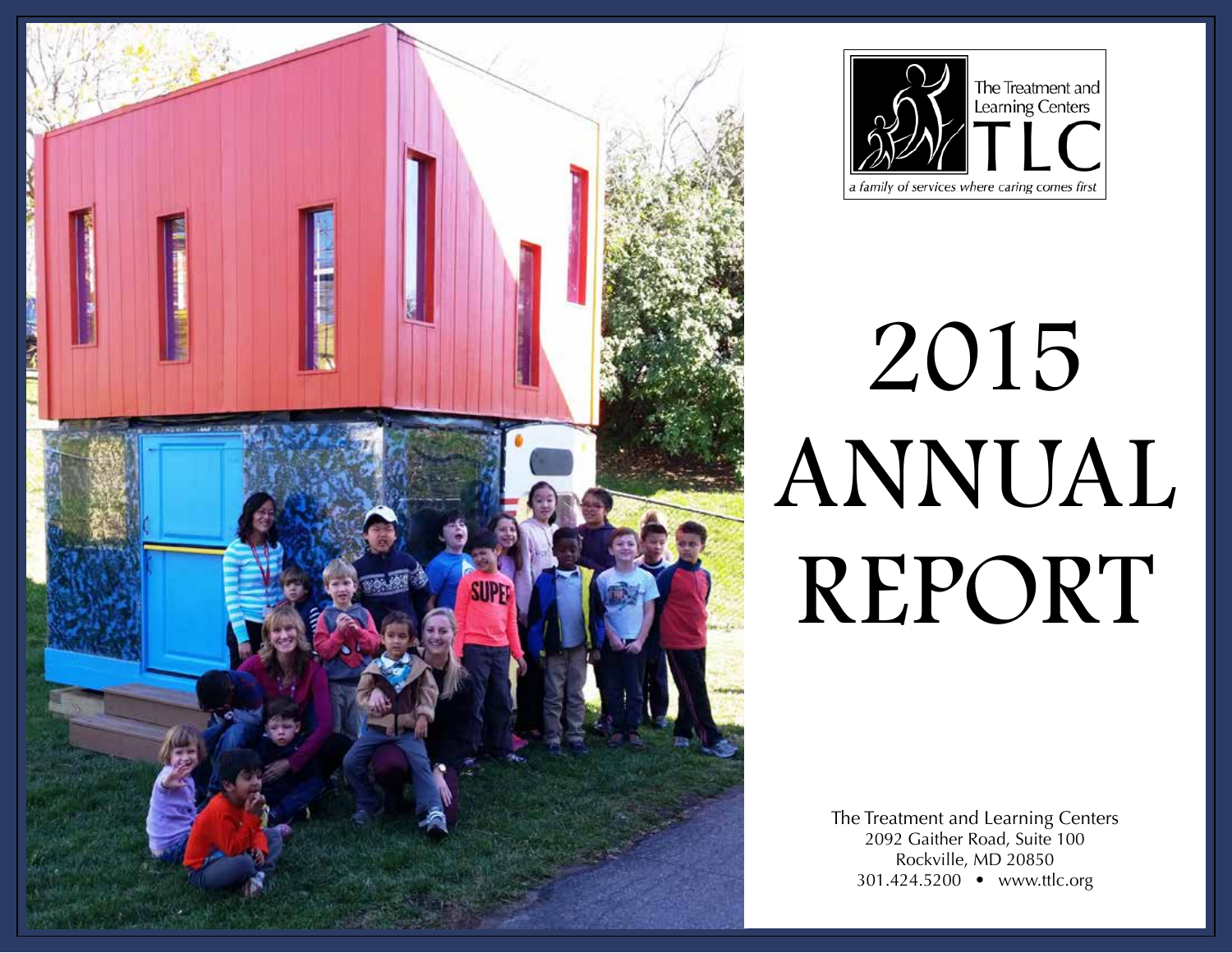



# 2015 ANNUAL REPORT

The Treatment and Learning Centers 2092 Gaither Road, Suite 100 Rockville, MD 20850 301.424.5200 • www.ttlc.org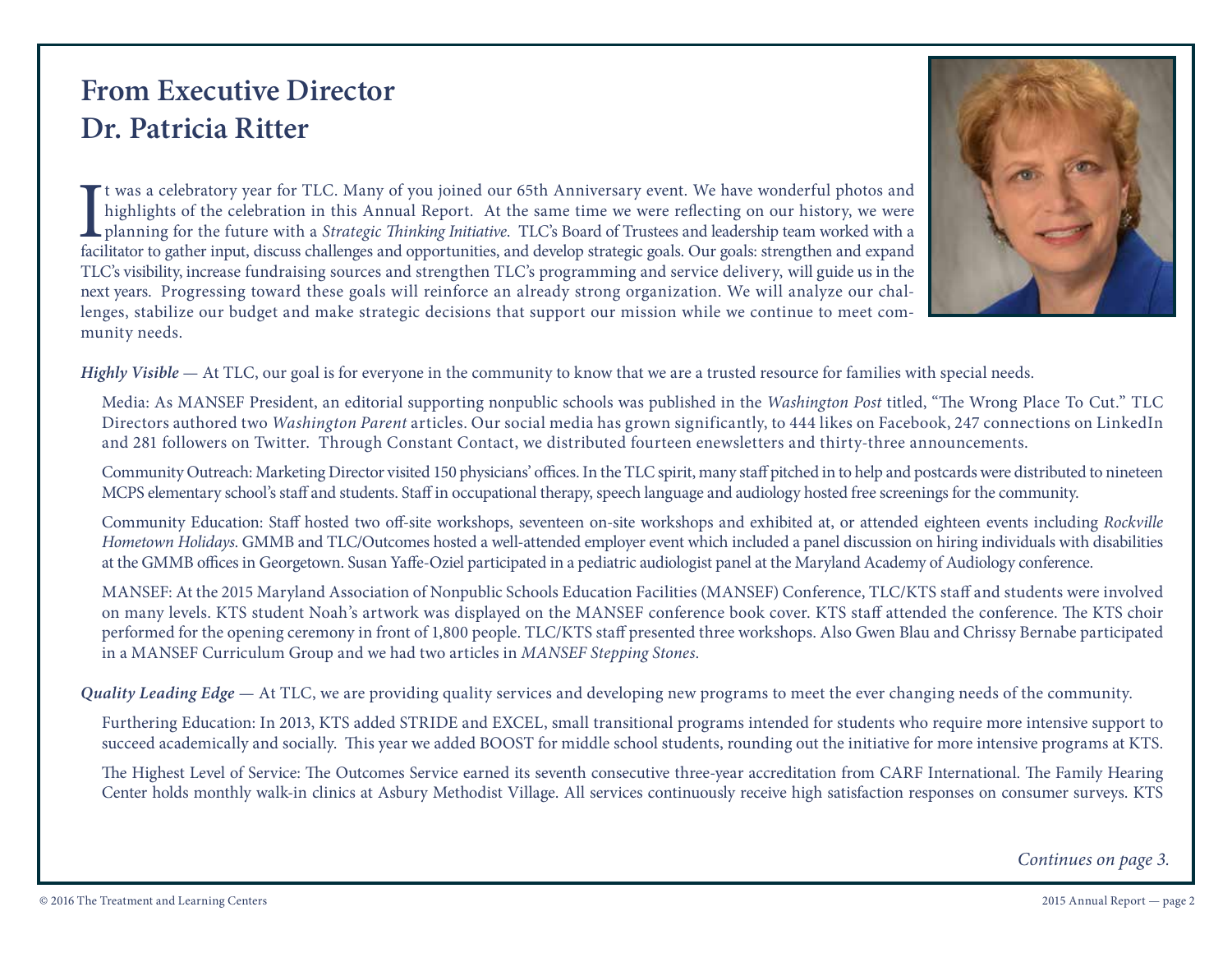# **From Executive Director Dr. Patricia Ritter**

It was a celebratory year for TLC. Many of you joined our 65th Anniversary event. We have wonderful photos and highlights of the celebration in this Annual Report. At the same time we were reflecting on our history, we wer t was a celebratory year for TLC. Many of you joined our 65th Anniversary event. We have wonderful photos and highlights of the celebration in this Annual Report. At the same time we were reflecting on our history, we were planning for the future with a *Strategic Thinking Initiative*. TLC's Board of Trustees and leadership team worked with a TLC's visibility, increase fundraising sources and strengthen TLC's programming and service delivery, will guide us in the next years. Progressing toward these goals will reinforce an already strong organization. We will analyze our challenges, stabilize our budget and make strategic decisions that support our mission while we continue to meet community needs.



*Highly Visible* — At TLC, our goal is for everyone in the community to know that we are a trusted resource for families with special needs.

Media: As MANSEF President, an editorial supporting nonpublic schools was published in the *Washington Post* titled, "The Wrong Place To Cut." TLC Directors authored two *Washington Parent* articles. Our social media has grown significantly, to 444 likes on Facebook, 247 connections on LinkedIn and 281 followers on Twitter. Through Constant Contact, we distributed fourteen enewsletters and thirty-three announcements.

Community Outreach: Marketing Director visited 150 physicians' offices. In the TLC spirit, many staff pitched in to help and postcards were distributed to nineteen MCPS elementary school's staff and students. Staff in occupational therapy, speech language and audiology hosted free screenings for the community.

Community Education: Staff hosted two off-site workshops, seventeen on-site workshops and exhibited at, or attended eighteen events including *Rockville Hometown Holidays*. GMMB and TLC/Outcomes hosted a well-attended employer event which included a panel discussion on hiring individuals with disabilities at the GMMB offices in Georgetown. Susan Yaffe-Oziel participated in a pediatric audiologist panel at the Maryland Academy of Audiology conference.

MANSEF: At the 2015 Maryland Association of Nonpublic Schools Education Facilities (MANSEF) Conference, TLC/KTS staff and students were involved on many levels. KTS student Noah's artwork was displayed on the MANSEF conference book cover. KTS staff attended the conference. The KTS choir performed for the opening ceremony in front of 1,800 people. TLC/KTS staff presented three workshops. Also Gwen Blau and Chrissy Bernabe participated in a MANSEF Curriculum Group and we had two articles in *MANSEF Stepping Stones*.

*Quality Leading Edge* — At TLC, we are providing quality services and developing new programs to meet the ever changing needs of the community.

Furthering Education: In 2013, KTS added STRIDE and EXCEL, small transitional programs intended for students who require more intensive support to succeed academically and socially. This year we added BOOST for middle school students, rounding out the initiative for more intensive programs at KTS.

The Highest Level of Service: The Outcomes Service earned its seventh consecutive three-year accreditation from CARF International. The Family Hearing Center holds monthly walk-in clinics at Asbury Methodist Village. All services continuously receive high satisfaction responses on consumer surveys. KTS

*Continues on page 3.*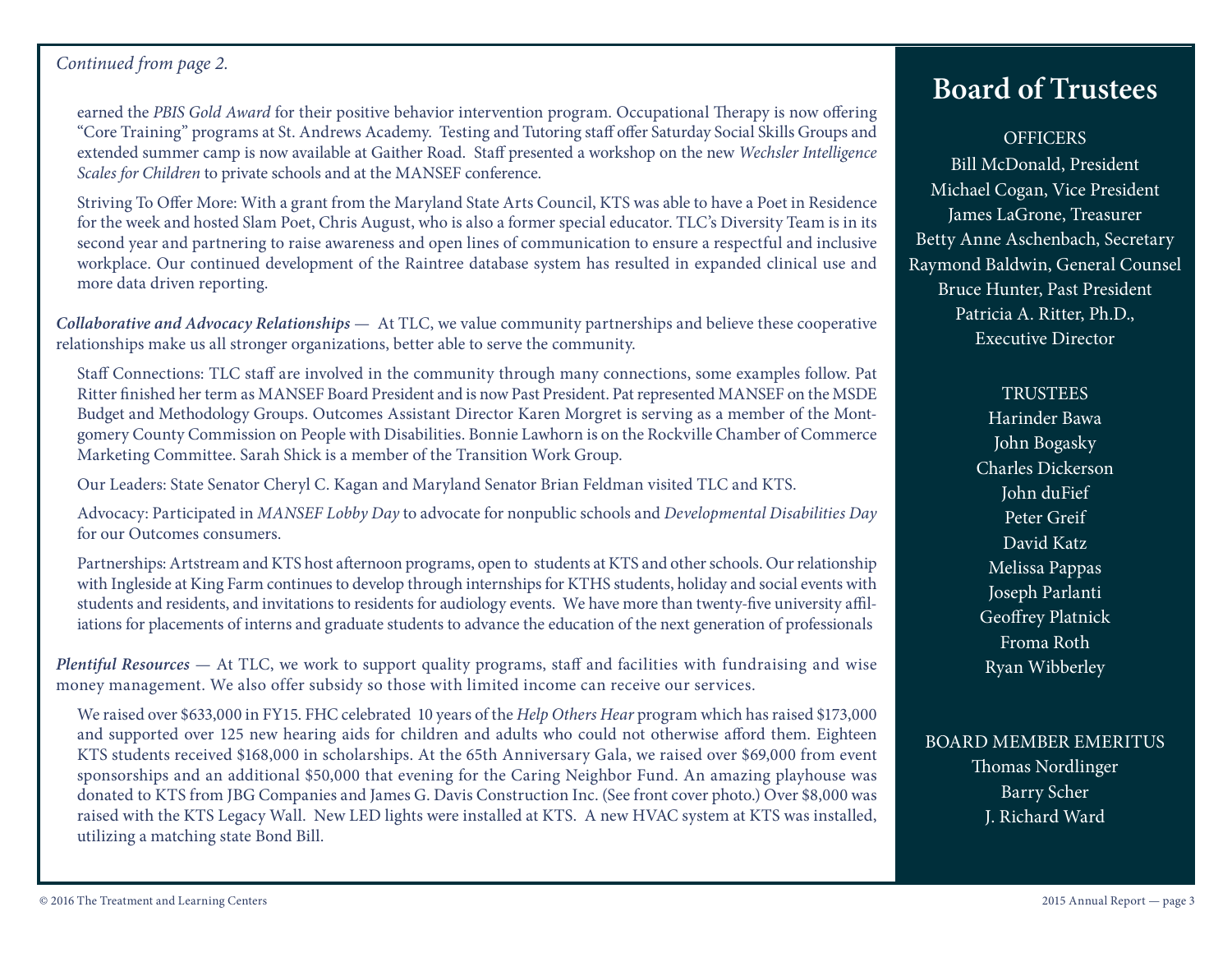## *Continued from page 2.*

earned the *PBIS Gold Award* for their positive behavior intervention program. Occupational Therapy is now offering "Core Training" programs at St. Andrews Academy. Testing and Tutoring staff offer Saturday Social Skills Groups and extended summer camp is now available at Gaither Road. Staff presented a workshop on the new *Wechsler Intelligence Scales for Children* to private schools and at the MANSEF conference.

Striving To Offer More: With a grant from the Maryland State Arts Council, KTS was able to have a Poet in Residence for the week and hosted Slam Poet, Chris August, who is also a former special educator. TLC's Diversity Team is in its second year and partnering to raise awareness and open lines of communication to ensure a respectful and inclusive workplace. Our continued development of the Raintree database system has resulted in expanded clinical use and more data driven reporting.

*Collaborative and Advocacy Relationships* — At TLC, we value community partnerships and believe these cooperative relationships make us all stronger organizations, better able to serve the community.

Staff Connections: TLC staff are involved in the community through many connections, some examples follow. Pat Ritter finished her term as MANSEF Board President and is now Past President. Pat represented MANSEF on the MSDE Budget and Methodology Groups. Outcomes Assistant Director Karen Morgret is serving as a member of the Montgomery County Commission on People with Disabilities. Bonnie Lawhorn is on the Rockville Chamber of Commerce Marketing Committee. Sarah Shick is a member of the Transition Work Group.

Our Leaders: State Senator Cheryl C. Kagan and Maryland Senator Brian Feldman visited TLC and KTS.

Advocacy: Participated in *MANSEF Lobby Day* to advocate for nonpublic schools and *Developmental Disabilities Day* for our Outcomes consumers.

Partnerships: Artstream and KTS host afternoon programs, open to students at KTS and other schools. Our relationship with Ingleside at King Farm continues to develop through internships for KTHS students, holiday and social events with students and residents, and invitations to residents for audiology events. We have more than twenty-five university affiliations for placements of interns and graduate students to advance the education of the next generation of professionals

*Plentiful Resources* — At TLC, we work to support quality programs, staff and facilities with fundraising and wise money management. We also offer subsidy so those with limited income can receive our services.

We raised over \$633,000 in FY15. FHC celebrated 10 years of the *Help Others Hear* program which has raised \$173,000 and supported over 125 new hearing aids for children and adults who could not otherwise afford them. Eighteen KTS students received \$168,000 in scholarships. At the 65th Anniversary Gala, we raised over \$69,000 from event sponsorships and an additional \$50,000 that evening for the Caring Neighbor Fund. An amazing playhouse was donated to KTS from JBG Companies and James G. Davis Construction Inc. (See front cover photo.) Over \$8,000 was raised with the KTS Legacy Wall. New LED lights were installed at KTS. A new HVAC system at KTS was installed, utilizing a matching state Bond Bill.

# **Board of Trustees**

## **OFFICERS**

Bill McDonald, President Michael Cogan, Vice President James LaGrone, Treasurer Betty Anne Aschenbach, Secretary Raymond Baldwin, General Counsel Bruce Hunter, Past President Patricia A. Ritter, Ph.D., Executive Director

## **TRUSTEES**

Harinder Bawa John Bogasky Charles Dickerson John duFief Peter Greif David Katz Melissa Pappas Joseph Parlanti Geoffrey Platnick Froma Roth Ryan Wibberley

## BOARD MEMBER EMERITUS Thomas Nordlinger

Barry Scher J. Richard Ward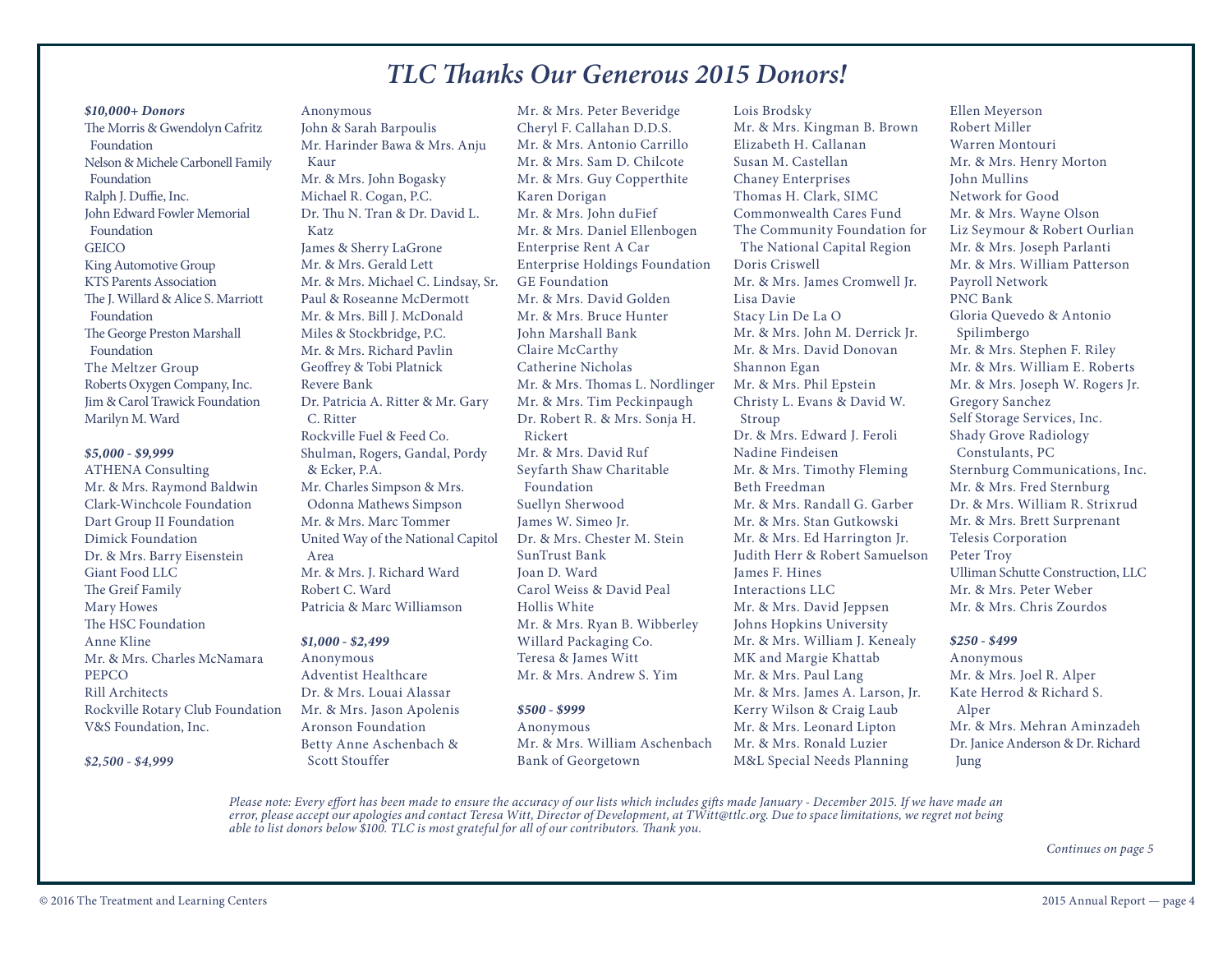## *TLC Thanks Our Generous 2015 Donors!*

#### *\$10,000+ Donors*

The Morris & Gwendolyn Cafritz Foundation Nelson & Michele Carbonell Family Foundation Ralph J. Duffie, Inc. John Edward Fowler Memorial Foundation **GEICO** King Automotive Group KTS Parents Association The J. Willard & Alice S. Marriott Foundation The George Preston Marshall Foundation The Meltzer Group Roberts Oxygen Company, Inc. Jim & Carol Trawick Foundation Marilyn M. Ward

#### *\$5,000 - \$9,999*

ATHENA Consulting Mr. & Mrs. Raymond Baldwin Clark-Winchcole Foundation Dart Group II Foundation Dimick Foundation Dr. & Mrs. Barry Eisenstein Giant Food LLC The Greif Family Mary Howes The HSC Foundation Anne Kline Mr. & Mrs. Charles McNamara PEPCO Rill Architects Rockville Rotary Club Foundation V&S Foundation, Inc.

*\$2,500 - \$4,999*

Anonymous John & Sarah Barpoulis Mr. Harinder Bawa & Mrs. Anju Kaur Mr. & Mrs. John Bogasky Michael R. Cogan, P.C. Dr. Thu N. Tran & Dr. David L. Katz James & Sherry LaGrone Mr. & Mrs. Gerald Lett Mr. & Mrs. Michael C. Lindsay, Sr. Paul & Roseanne McDermott Mr. & Mrs. Bill J. McDonald Miles & Stockbridge, P.C. Mr. & Mrs. Richard Pavlin Geoffrey & Tobi Platnick Revere Bank Dr. Patricia A. Ritter & Mr. Gary C. Ritter Rockville Fuel & Feed Co. Shulman, Rogers, Gandal, Pordy & Ecker, P.A. Mr. Charles Simpson & Mrs. Odonna Mathews Simpson Mr. & Mrs. Marc Tommer United Way of the National Capitol Area Mr. & Mrs. J. Richard Ward Robert C. Ward

#### *\$1,000 - \$2,499*

Anonymous Adventist Healthcare Dr. & Mrs. Louai Alassar Mr. & Mrs. Jason Apolenis Aronson Foundation Betty Anne Aschenbach & Scott Stouffer

Patricia & Marc Williamson

Mr. & Mrs. Peter Beveridge Cheryl F. Callahan D.D.S. Mr. & Mrs. Antonio Carrillo Mr. & Mrs. Sam D. Chilcote Mr. & Mrs. Guy Copperthite Karen Dorigan Mr. & Mrs. John duFief Mr. & Mrs. Daniel Ellenbogen Enterprise Rent A Car Enterprise Holdings Foundation GE Foundation Mr. & Mrs. David Golden Mr. & Mrs. Bruce Hunter John Marshall Bank Claire McCarthy Catherine Nicholas Mr. & Mrs. Thomas L. Nordlinger Mr. & Mrs. Tim Peckinpaugh Dr. Robert R. & Mrs. Sonja H. Rickert Mr. & Mrs. David Ruf Seyfarth Shaw Charitable Foundation Suellyn Sherwood James W. Simeo Jr. Dr. & Mrs. Chester M. Stein SunTrust Bank Joan D. Ward Carol Weiss & David Peal Hollis White Mr. & Mrs. Ryan B. Wibberley Willard Packaging Co. Teresa & James Witt Mr. & Mrs. Andrew S. Yim

#### *\$500 - \$999*

Anonymous Mr. & Mrs. William Aschenbach Bank of Georgetown

Lois Brodsky Mr. & Mrs. Kingman B. Brown Elizabeth H. Callanan Susan M. Castellan Chaney Enterprises Thomas H. Clark, SIMC Commonwealth Cares Fund The Community Foundation for The National Capital Region Doris Criswell Mr. & Mrs. James Cromwell Jr. Lisa Davie Stacy Lin De La O Mr. & Mrs. John M. Derrick Jr. Mr. & Mrs. David Donovan Shannon Egan Mr. & Mrs. Phil Epstein Christy L. Evans & David W. Stroup Dr. & Mrs. Edward J. Feroli Nadine Findeisen Mr. & Mrs. Timothy Fleming Beth Freedman Mr. & Mrs. Randall G. Garber Mr. & Mrs. Stan Gutkowski Mr. & Mrs. Ed Harrington Jr. Judith Herr & Robert Samuelson James F. Hines Interactions LLC Mr. & Mrs. David Jeppsen Johns Hopkins University Mr. & Mrs. William J. Kenealy MK and Margie Khattab Mr. & Mrs. Paul Lang Mr. & Mrs. James A. Larson, Jr. Kerry Wilson & Craig Laub Mr. & Mrs. Leonard Lipton Mr. & Mrs. Ronald Luzier M&L Special Needs Planning

Ellen Meyerson Robert Miller Warren Montouri Mr. & Mrs. Henry Morton John Mullins Network for Good Mr. & Mrs. Wayne Olson Liz Seymour & Robert Ourlian Mr. & Mrs. Joseph Parlanti Mr. & Mrs. William Patterson Payroll Network PNC Bank Gloria Quevedo & Antonio Spilimbergo Mr. & Mrs. Stephen F. Riley Mr. & Mrs. William E. Roberts Mr. & Mrs. Joseph W. Rogers Jr. Gregory Sanchez Self Storage Services, Inc. Shady Grove Radiology Constulants, PC Sternburg Communications, Inc. Mr. & Mrs. Fred Sternburg Dr. & Mrs. William R. Strixrud Mr. & Mrs. Brett Surprenant Telesis Corporation Peter Troy Ulliman Schutte Construction, LLC Mr. & Mrs. Peter Weber Mr. & Mrs. Chris Zourdos

#### *\$250 - \$499*

Anonymous Mr. & Mrs. Joel R. Alper Kate Herrod & Richard S. Alper Mr. & Mrs. Mehran Aminzadeh Dr. Janice Anderson & Dr. Richard Jung

*Please note: Every effort has been made to ensure the accuracy of our lists which includes gifts made January - December 2015. If we have made an error, please accept our apologies and contact Teresa Witt, Director of Development, at TWitt@ttlc.org. Due to space limitations, we regret not being able to list donors below \$100. TLC is most grateful for all of our contributors. Thank you.*

*Continues on page 5*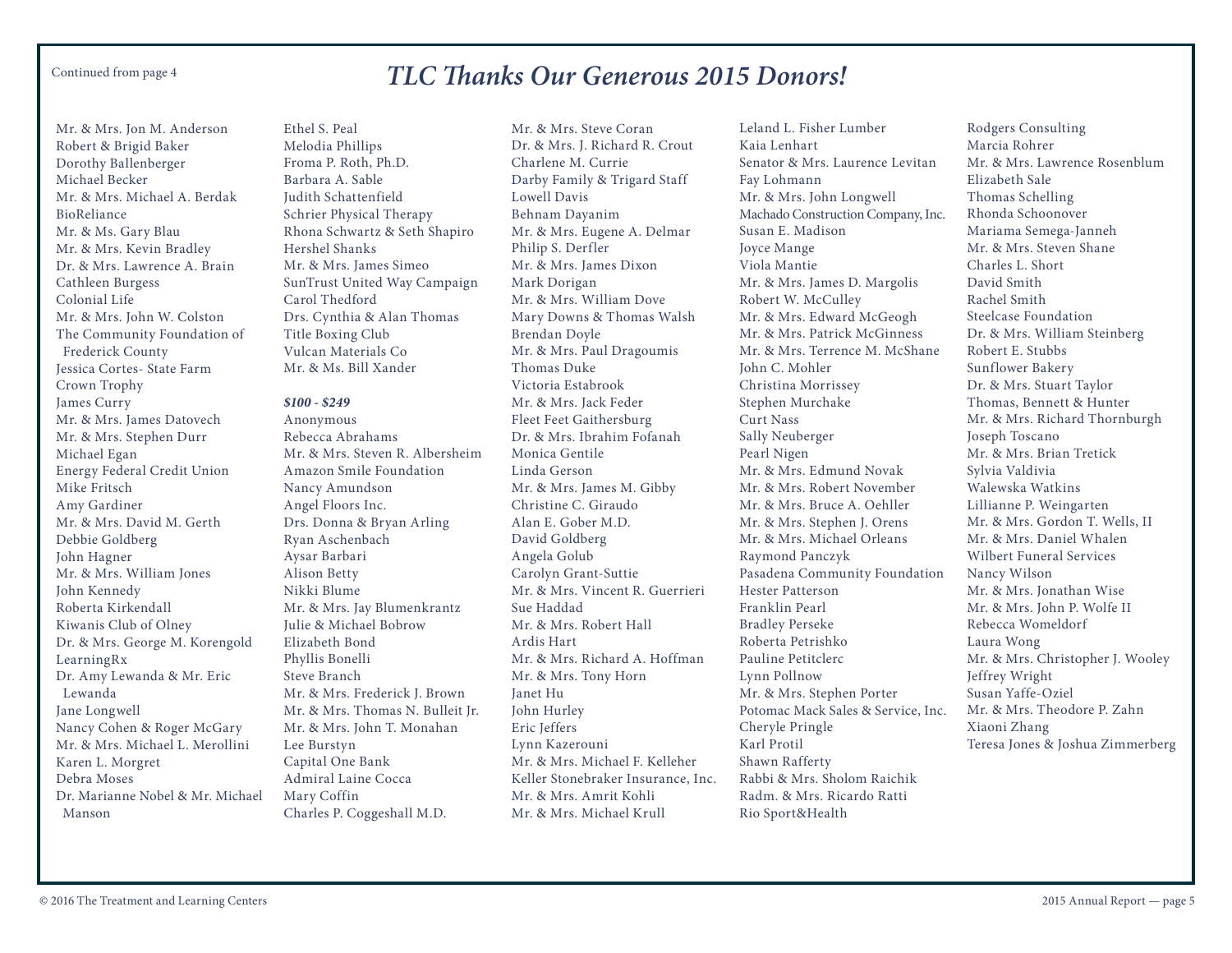## *TLC Thanks Our Generous 2015 Donors!* Continued from page 4

Mr. & Mrs. Jon M. Anderson Robert & Brigid Baker Dorothy Ballenberger Michael Becker Mr. & Mrs. Michael A. Berdak BioReliance Mr. & Ms. Gary Blau Mr. & Mrs. Kevin Bradley Dr. & Mrs. Lawrence A. Brain Cathleen Burgess Colonial Life Mr. & Mrs. John W. Colston The Community Foundation of Frederick County Jessica Cortes- State Farm Crown Trophy James Curry Mr. & Mrs. James Datovech Mr. & Mrs. Stephen Durr Michael Egan Energy Federal Credit Union Mike Fritsch Amy Gardiner Mr. & Mrs. David M. Gerth Debbie Goldberg John Hagner Mr. & Mrs. William Jones John Kennedy Roberta Kirkendall Kiwanis Club of Olney Dr. & Mrs. George M. Korengold LearningRx Dr. Amy Lewanda & Mr. Eric Lewanda Jane Longwell Nancy Cohen & Roger McGary Mr. & Mrs. Michael L. Merollini Karen L. Morgret Debra Moses Dr. Marianne Nobel & Mr. Michael Manson

Ethel S. Peal Melodia Phillips Froma P. Roth, Ph.D. Barbara A. Sable Judith Schattenfield Schrier Physical Therapy Rhona Schwartz & Seth Shapiro Hershel Shanks Mr. & Mrs. James Simeo SunTrust United Way Campaign Carol Thedford Drs. Cynthia & Alan Thomas Title Boxing Club Vulcan Materials Co Mr. & Ms. Bill Xander

#### *\$100 - \$249*

Anonymous Rebecca Abrahams Mr. & Mrs. Steven R. Albersheim Amazon Smile Foundation Nancy Amundson Angel Floors Inc. Drs. Donna & Bryan Arling Ryan Aschenbach Aysar Barbari Alison Betty Nikki Blume Mr. & Mrs. Jay Blumenkrantz Julie & Michael Bobrow Elizabeth Bond Phyllis Bonelli Steve Branch Mr. & Mrs. Frederick J. Brown Mr. & Mrs. Thomas N. Bulleit Jr. Mr. & Mrs. John T. Monahan Lee Burstyn Capital One Bank Admiral Laine Cocca Mary Coffin Charles P. Coggeshall M.D.

Mr. & Mrs. Steve Coran Dr. & Mrs. J. Richard R. Crout Charlene M. Currie Darby Family & Trigard Staff Lowell Davis Behnam Dayanim Mr. & Mrs. Eugene A. Delmar Philip S. Derfler Mr. & Mrs. James Dixon Mark Dorigan Mr. & Mrs. William Dove Mary Downs & Thomas Walsh Brendan Doyle Mr. & Mrs. Paul Dragoumis Thomas Duke Victoria Estabrook Mr. & Mrs. Jack Feder Fleet Feet Gaithersburg Dr. & Mrs. Ibrahim Fofanah Monica Gentile Linda Gerson Mr. & Mrs. James M. Gibby Christine C. Giraudo Alan E. Gober M.D. David Goldberg Angela Golub Carolyn Grant-Suttie Mr. & Mrs. Vincent R. Guerrieri Sue Haddad Mr. & Mrs. Robert Hall Ardis Hart Mr. & Mrs. Richard A. Hoffman Mr. & Mrs. Tony Horn Janet Hu John Hurley Eric Jeffers Lynn Kazerouni Mr. & Mrs. Michael F. Kelleher Keller Stonebraker Insurance, Inc. Mr. & Mrs. Amrit Kohli Mr. & Mrs. Michael Krull

Leland L. Fisher Lumber Kaia Lenhart Senator & Mrs. Laurence Levitan Fay Lohmann Mr. & Mrs. John Longwell Machado Construction Company, Inc. Susan E. Madison Joyce Mange Viola Mantie Mr. & Mrs. James D. Margolis Robert W. McCulley Mr. & Mrs. Edward McGeogh Mr. & Mrs. Patrick McGinness Mr. & Mrs. Terrence M. McShane John C. Mohler Christina Morrissey Stephen Murchake Curt Nass Sally Neuberger Pearl Nigen Mr. & Mrs. Edmund Novak Mr. & Mrs. Robert November Mr. & Mrs. Bruce A. Oehller Mr. & Mrs. Stephen J. Orens Mr. & Mrs. Michael Orleans Raymond Panczyk Pasadena Community Foundation Hester Patterson Franklin Pearl Bradley Perseke Roberta Petrishko Pauline Petitclerc Lynn Pollnow Mr. & Mrs. Stephen Porter Potomac Mack Sales & Service, Inc. Cheryle Pringle Karl Protil Shawn Rafferty Rabbi & Mrs. Sholom Raichik Radm. & Mrs. Ricardo Ratti Rio Sport&Health

Rodgers Consulting Marcia Rohrer Mr. & Mrs. Lawrence Rosenblum Elizabeth Sale Thomas Schelling Rhonda Schoonover Mariama Semega-Janneh Mr. & Mrs. Steven Shane Charles L. Short David Smith Rachel Smith Steelcase Foundation Dr. & Mrs. William Steinberg Robert E. Stubbs Sunflower Bakery Dr. & Mrs. Stuart Taylor Thomas, Bennett & Hunter Mr. & Mrs. Richard Thornburgh Joseph Toscano Mr. & Mrs. Brian Tretick Sylvia Valdivia Walewska Watkins Lillianne P. Weingarten Mr. & Mrs. Gordon T. Wells, II Mr. & Mrs. Daniel Whalen Wilbert Funeral Services Nancy Wilson Mr. & Mrs. Jonathan Wise Mr. & Mrs. John P. Wolfe II Rebecca Womeldorf Laura Wong Mr. & Mrs. Christopher J. Wooley Jeffrey Wright Susan Yaffe-Oziel Mr. & Mrs. Theodore P. Zahn Xiaoni Zhang Teresa Jones & Joshua Zimmerberg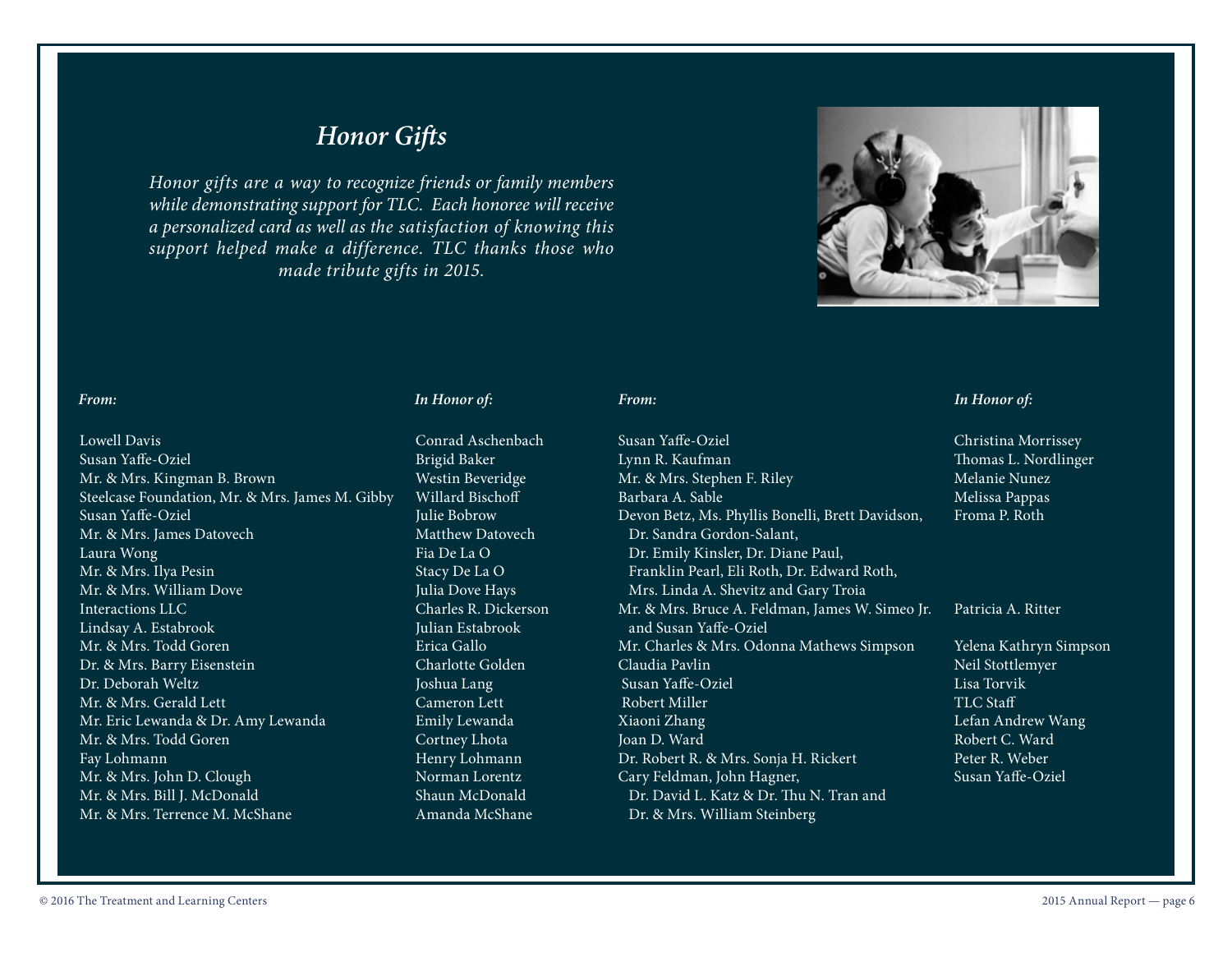## *Honor Gifts*

*Honor gifts are a way to recognize friends or family members while demonstrating support for TLC. Each honoree will receive a personalized card as well as the satisfaction of knowing this support helped make a difference. TLC thanks those who made tribute gifts in 2015.*



Lowell Davis Conrad Aschenbach Susan Yaffe-Oziel Brigid Baker Mr. & Mrs. Kingman B. Brown Westin Beveridge Steelcase Foundation, Mr. & Mrs. James M. Gibby Willard Bischoff Susan Yaffe-Oziel Julie Bobrow Mr. & Mrs. James Datovech Matthew Datovech Laura Wong Fia De La O Mr. & Mrs. Ilya Pesin Stacy De La O Mr. & Mrs. William Dove **Julia Dove Hays** Interactions LLC Charles R. Dickerson Lindsay A. Estabrook Julian Estabrook Mr. & Mrs. Todd Goren Erica Gallo Dr. & Mrs. Barry Eisenstein Charlotte Golden Dr. Deborah Weltz Joshua Lang Mr. & Mrs. Gerald Lett Cameron Lett Mr. Eric Lewanda & Dr. Amy Lewanda Charles Emily Lewanda Mr. & Mrs. Todd Goren Cortney Lhota Fay Lohmann Henry Lohmann Mr. & Mrs. John D. Clough Norman Lorentz Mr. & Mrs. Bill J. McDonald Shaun McDonald Mr. & Mrs. Terrence M. McShane Amanda McShane

Susan Yaffe-Oziel Christina Morrissey Lynn R. Kaufman Thomas L. Nordlinger Mr. & Mrs. Stephen F. Riley Melanie Nunez Barbara A. Sable Melissa Pappas Devon Betz, Ms. Phyllis Bonelli, Brett Davidson, Froma P. Roth Dr. Sandra Gordon-Salant, Dr. Emily Kinsler, Dr. Diane Paul, Franklin Pearl, Eli Roth, Dr. Edward Roth, Mrs. Linda A. Shevitz and Gary Troia Mr. & Mrs. Bruce A. Feldman, James W. Simeo Jr. Patricia A. Ritter and Susan Yaffe-Oziel Mr. Charles & Mrs. Odonna Mathews Simpson Yelena Kathryn Simpson Claudia Pavlin Neil Stottlemyer Susan Yaffe-Oziel Lisa Torvik Robert Miller TLC Staff Xiaoni Zhang **Lefan Andrew Wang** Lefan Andrew Wang Joan D. Ward Robert C. Ward Robert C. Ward Dr. Robert R. & Mrs. Sonja H. Rickert Peter R. Weber Cary Feldman, John Hagner, Susan Yaffe-Oziel Dr. David L. Katz & Dr. Thu N. Tran and Dr. & Mrs. William Steinberg

#### *From: In Honor of: From: In Honor of:*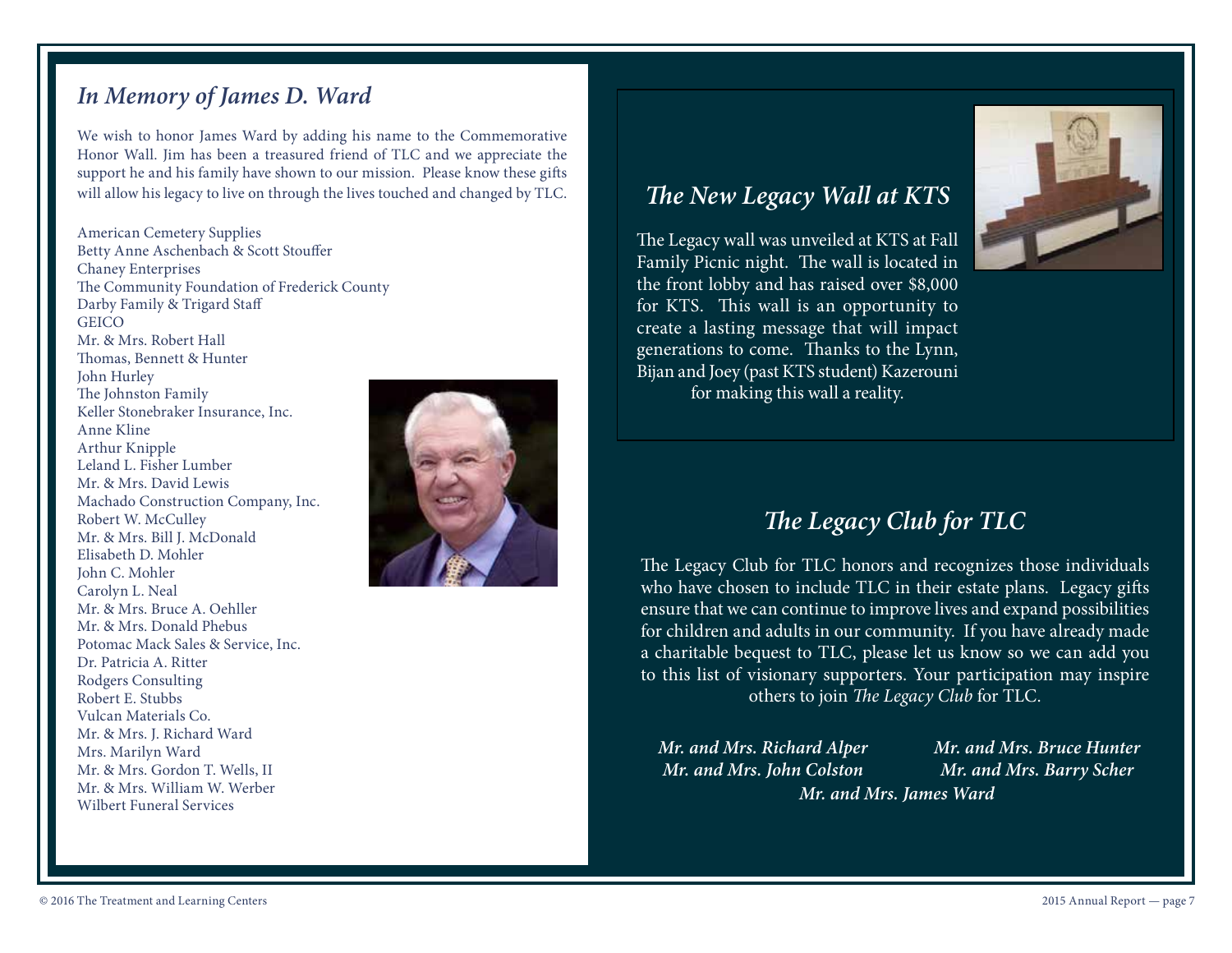## *In Memory of James D. Ward*

We wish to honor James Ward by adding his name to the Commemorative Honor Wall. Jim has been a treasured friend of TLC and we appreciate the support he and his family have shown to our mission. Please know these gifts will allow his legacy to live on through the lives touched and changed by TLC.

American Cemetery Supplies Betty Anne Aschenbach & Scott Stouffer Chaney Enterprises The Community Foundation of Frederick County Darby Family & Trigard Staff **GEICO** Mr. & Mrs. Robert Hall Thomas, Bennett & Hunter John Hurley The Johnston Family Keller Stonebraker Insurance, Inc. Anne Kline Arthur Knipple Leland L. Fisher Lumber Mr. & Mrs. David Lewis Machado Construction Company, Inc. Robert W. McCulley Mr. & Mrs. Bill J. McDonald Elisabeth D. Mohler John C. Mohler Carolyn L. Neal Mr. & Mrs. Bruce A. Oehller Mr. & Mrs. Donald Phebus Potomac Mack Sales & Service, Inc. Dr. Patricia A. Ritter Rodgers Consulting Robert E. Stubbs Vulcan Materials Co. Mr. & Mrs. J. Richard Ward Mrs. Marilyn Ward Mr. & Mrs. Gordon T. Wells, II Mr. & Mrs. William W. Werber Wilbert Funeral Services



## *The New Legacy Wall at KTS*

The Legacy wall was unveiled at KTS at Fall Family Picnic night. The wall is located in the front lobby and has raised over \$8,000 for KTS. This wall is an opportunity to create a lasting message that will impact generations to come. Thanks to the Lynn, Bijan and Joey (past KTS student) Kazerouni for making this wall a reality.



## *The Legacy Club for TLC*

The Legacy Club for TLC honors and recognizes those individuals who have chosen to include TLC in their estate plans. Legacy gifts ensure that we can continue to improve lives and expand possibilities for children and adults in our community. If you have already made a charitable bequest to TLC, please let us know so we can add you to this list of visionary supporters. Your participation may inspire others to join *The Legacy Club* for TLC.

*Mr. and Mrs. Richard Alper Mr. and Mrs. John Colston Mr. and Mrs. James Ward*

*Mr. and Mrs. Bruce Hunter Mr. and Mrs. Barry Scher*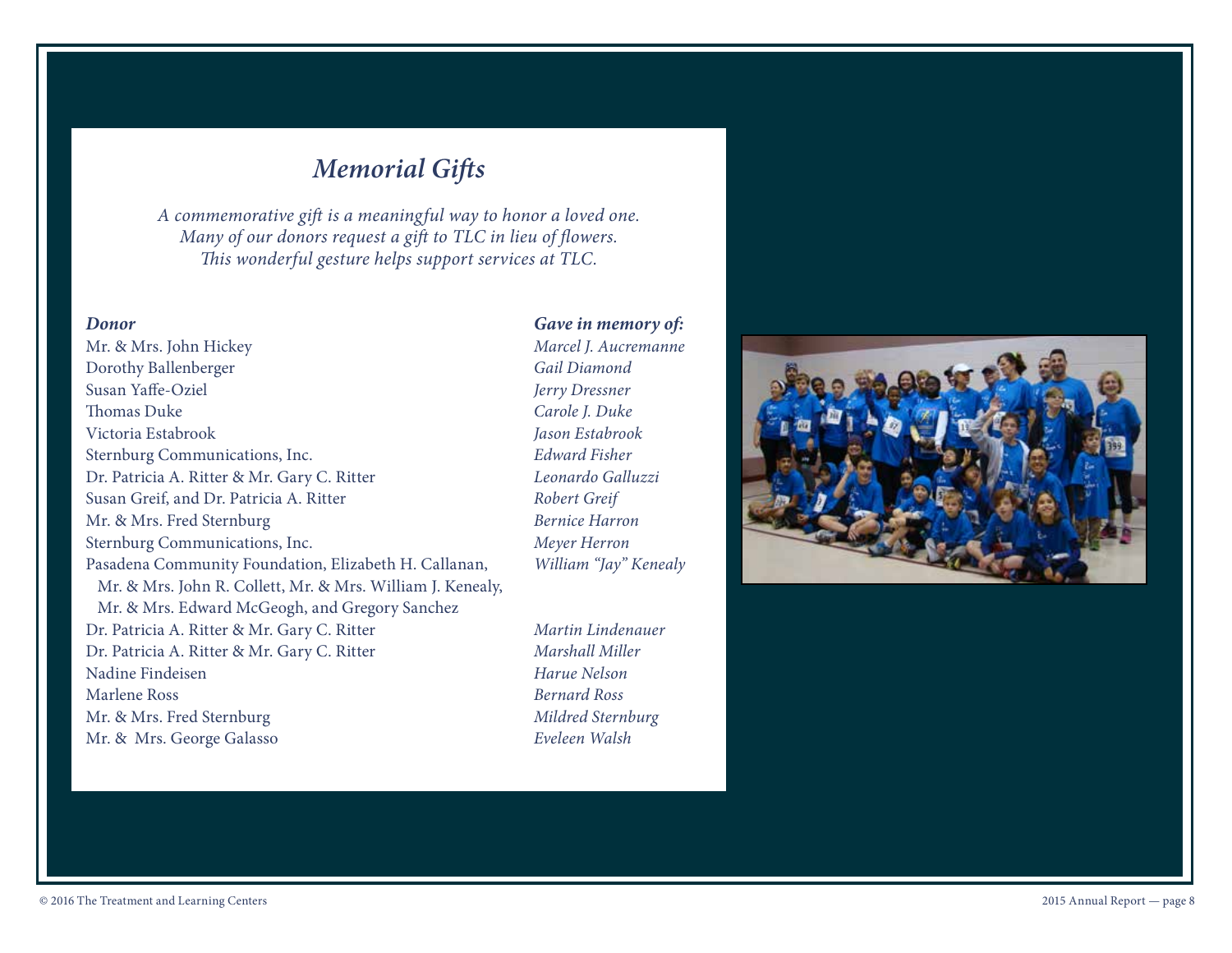## *Memorial Gifts*

*A commemorative gift is a meaningful way to honor a loved one. Many of our donors request a gift to TLC in lieu of flowers. This wonderful gesture helps support services at TLC.* 

## Mr. & Mrs. John Hickey *Marcel J. Aucremanne* Dorothy Ballenberger *Gail Diamond* Susan Yaffe-Oziel *Jerry Dressner* Thomas Duke *Carole J. Duke* Victoria Estabrook *Jason Estabrook* Sternburg Communications, Inc. *Edward Fisher* Dr. Patricia A. Ritter & Mr. Gary C. Ritter *Leonardo Galluzzi* Susan Greif, and Dr. Patricia A. Ritter *Robert Greif* Mr. & Mrs. Fred Sternburg *Bernice Harron* Sternburg Communications, Inc. *Meyer Herron* Pasadena Community Foundation, Elizabeth H. Callanan, *William "Jay" Kenealy* Mr. & Mrs. John R. Collett, Mr. & Mrs. William J. Kenealy, Mr. & Mrs. Edward McGeogh, and Gregory Sanchez Dr. Patricia A. Ritter & Mr. Gary C. Ritter *Martin Lindenauer* Dr. Patricia A. Ritter & Mr. Gary C. Ritter *Marshall Miller* Nadine Findeisen *Harue Nelson* Marlene Ross *Bernard Ross* Mr. & Mrs. Fred Sternburg *Mildred Sternburg* Mr. & Mrs. George Galasso *Eveleen Walsh*

## *Donor Gave in memory of:*

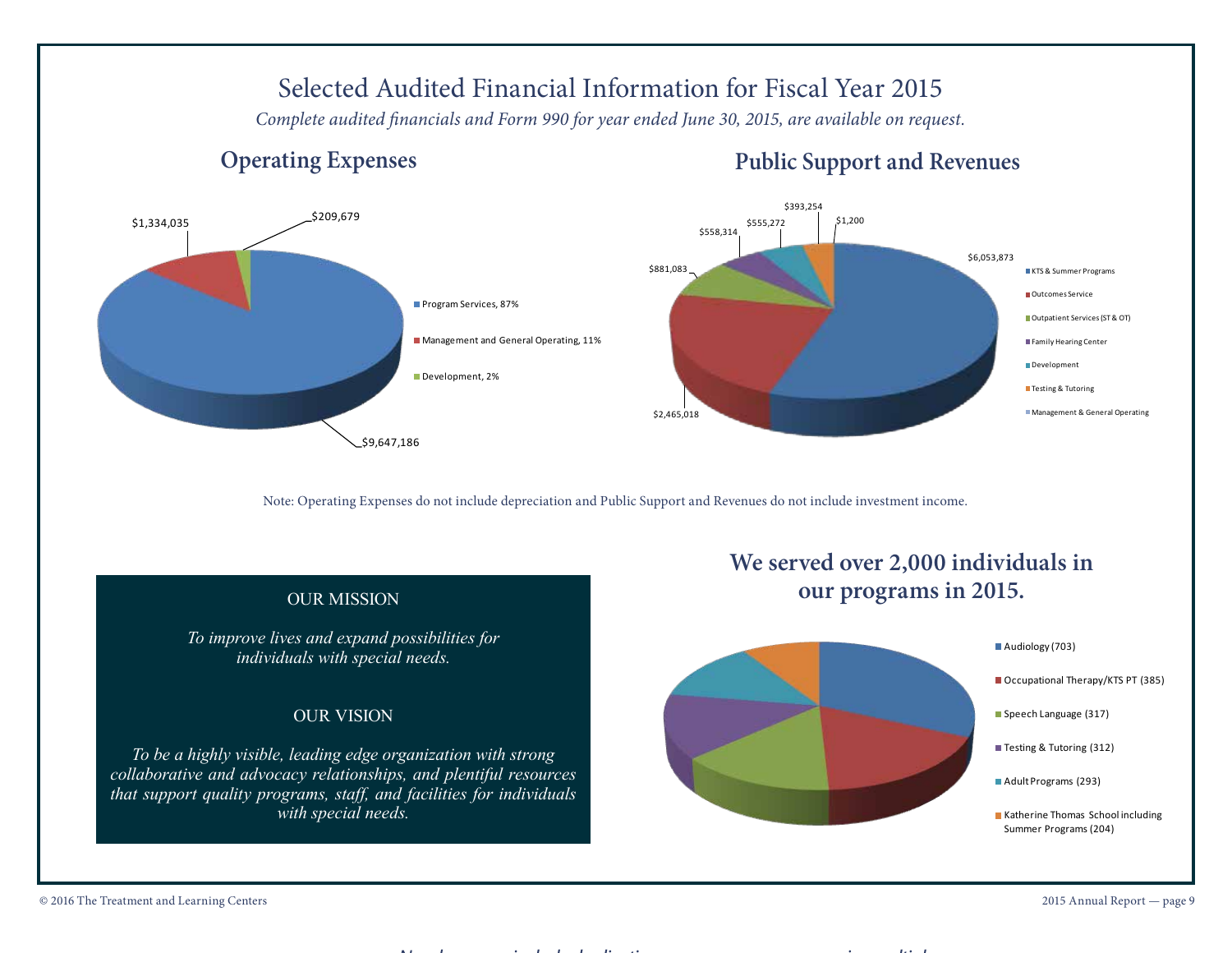## Selected Audited Financial Information for Fiscal Year 2015

*Complete audited financials and Form 990 for year ended June 30, 2015, are available on request.*

## **Operating Expenses Public Support and Revenues**



Note: Operating Expenses do not include depreciation and Public Support and Revenues do not include investment income.



*Numbers may include duplication as some consumers receive multiple*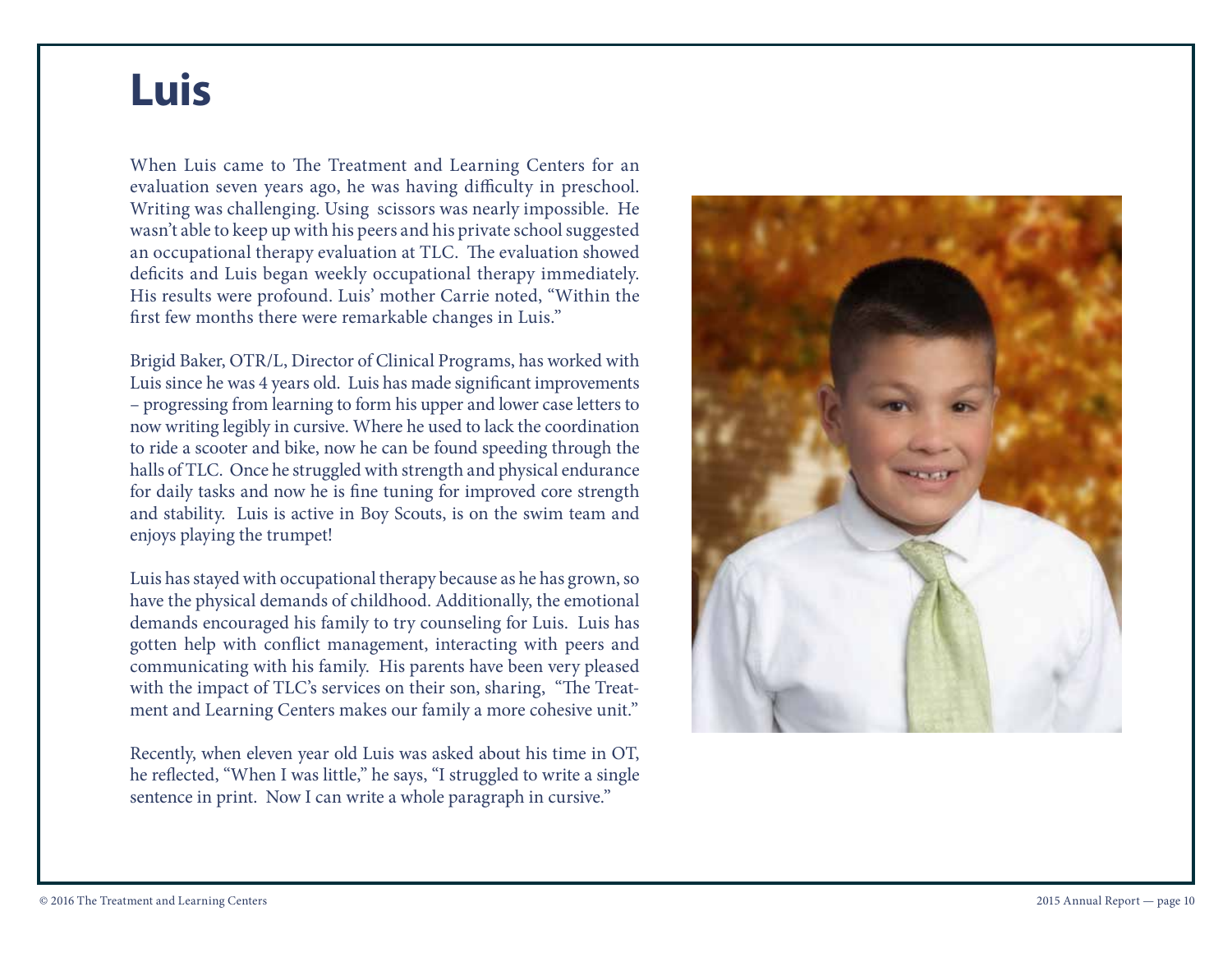# **Luis**

When Luis came to The Treatment and Learning Centers for an evaluation seven years ago, he was having difficulty in preschool. Writing was challenging. Using scissors was nearly impossible. He wasn't able to keep up with his peers and his private school suggested an occupational therapy evaluation at TLC. The evaluation showed deficits and Luis began weekly occupational therapy immediately. His results were profound. Luis' mother Carrie noted, "Within the first few months there were remarkable changes in Luis."

Brigid Baker, OTR/L, Director of Clinical Programs, has worked with Luis since he was 4 years old. Luis has made significant improvements – progressing from learning to form his upper and lower case letters to now writing legibly in cursive. Where he used to lack the coordination to ride a scooter and bike, now he can be found speeding through the halls of TLC. Once he struggled with strength and physical endurance for daily tasks and now he is fine tuning for improved core strength and stability. Luis is active in Boy Scouts, is on the swim team and enjoys playing the trumpet!

Luis has stayed with occupational therapy because as he has grown, so have the physical demands of childhood. Additionally, the emotional demands encouraged his family to try counseling for Luis. Luis has gotten help with conflict management, interacting with peers and communicating with his family. His parents have been very pleased with the impact of TLC's services on their son, sharing, "The Treatment and Learning Centers makes our family a more cohesive unit."

Recently, when eleven year old Luis was asked about his time in OT, he reflected, "When I was little," he says, "I struggled to write a single sentence in print. Now I can write a whole paragraph in cursive."

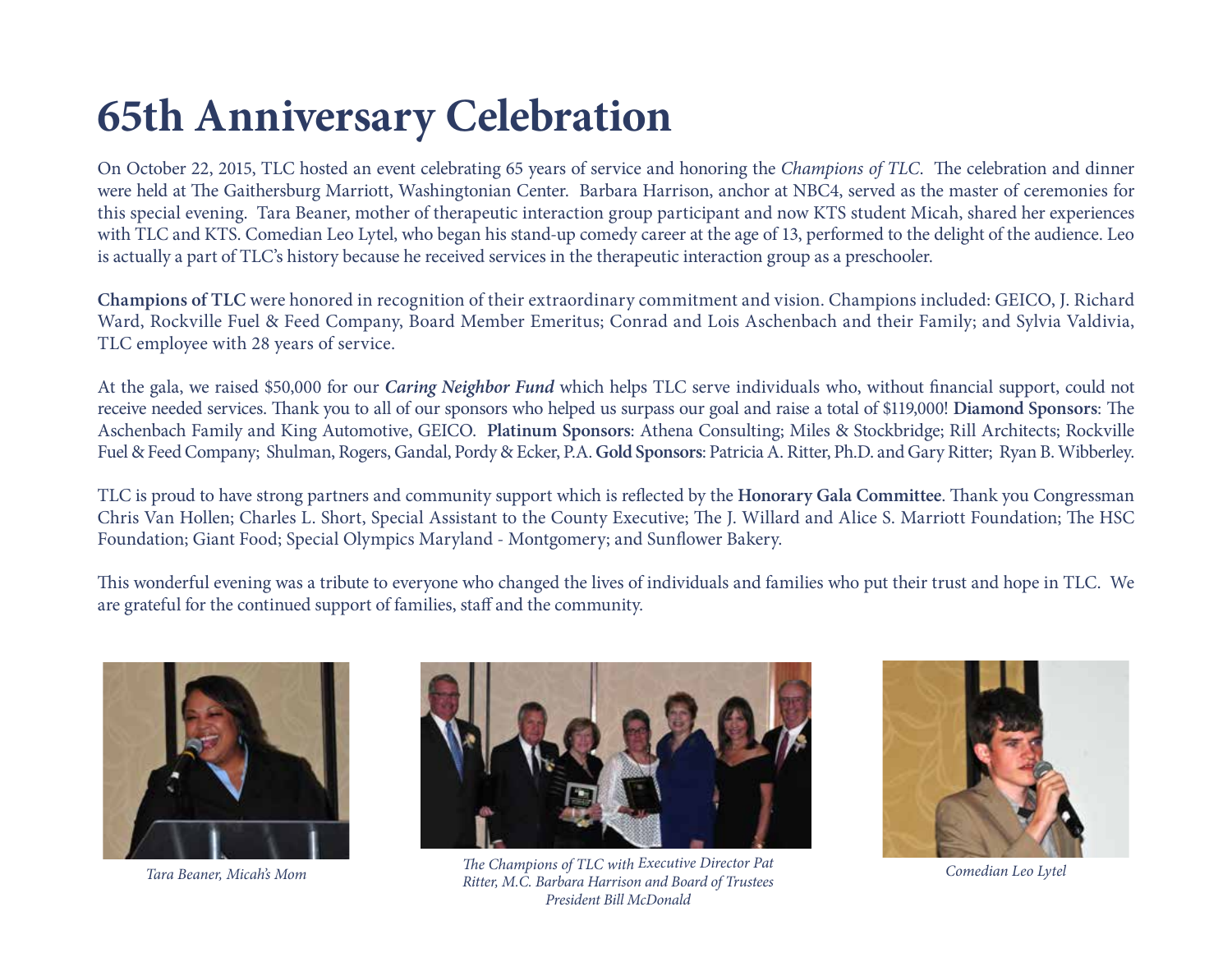# **65th Anniversary Celebration**

On October 22, 2015, TLC hosted an event celebrating 65 years of service and honoring the *Champions of TLC*. The celebration and dinner were held at The Gaithersburg Marriott, Washingtonian Center. Barbara Harrison, anchor at NBC4, served as the master of ceremonies for this special evening. Tara Beaner, mother of therapeutic interaction group participant and now KTS student Micah, shared her experiences with TLC and KTS. Comedian Leo Lytel, who began his stand-up comedy career at the age of 13, performed to the delight of the audience. Leo is actually a part of TLC's history because he received services in the therapeutic interaction group as a preschooler.

**Champions of TLC** were honored in recognition of their extraordinary commitment and vision. Champions included: GEICO, J. Richard Ward, Rockville Fuel & Feed Company, Board Member Emeritus; Conrad and Lois Aschenbach and their Family; and Sylvia Valdivia, TLC employee with 28 years of service.

At the gala, we raised \$50,000 for our *Caring Neighbor Fund* which helps TLC serve individuals who, without financial support, could not receive needed services. Thank you to all of our sponsors who helped us surpass our goal and raise a total of \$119,000! **Diamond Sponsors**: The Aschenbach Family and King Automotive, GEICO. **Platinum Sponsors**: Athena Consulting; Miles & Stockbridge; Rill Architects; Rockville Fuel & Feed Company; Shulman, Rogers, Gandal, Pordy & Ecker, P.A. **Gold Sponsors**: Patricia A. Ritter, Ph.D. and Gary Ritter; Ryan B. Wibberley.

TLC is proud to have strong partners and community support which is reflected by the **Honorary Gala Committee**. Thank you Congressman Chris Van Hollen; Charles L. Short, Special Assistant to the County Executive; The J. Willard and Alice S. Marriott Foundation; The HSC Foundation; Giant Food; Special Olympics Maryland - Montgomery; and Sunflower Bakery.

This wonderful evening was a tribute to everyone who changed the lives of individuals and families who put their trust and hope in TLC. We are grateful for the continued support of families, staff and the community.





Example 2016 The Treatment and Learning Centers 2016 Annual Report — page 11 Annual Report — page 11 Annual Report — page 11 Annual Report — page 11 Annual Report — page 11 Annual Report — page 11 Annual Report — page 11 A *The Champions of TLC with Executive Director Pat Ritter, M.C. Barbara Harrison and Board of Trustees Tara Beaner, Micah's Mom Comedian Leo LytelPresident Bill McDonald*